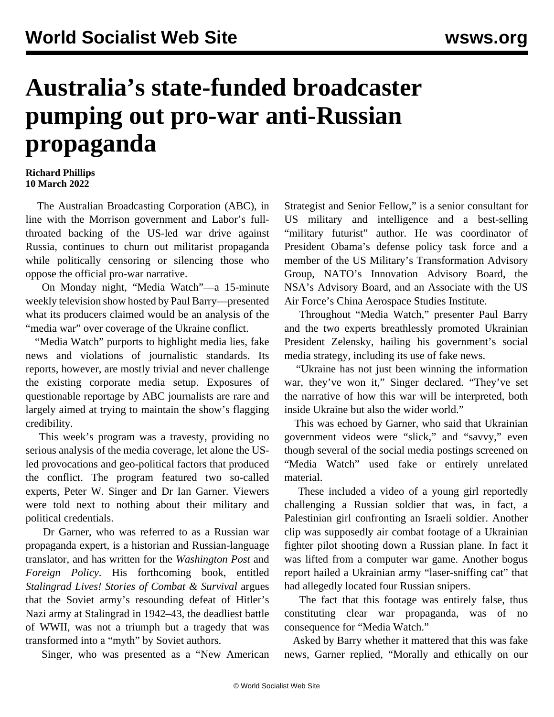## **Australia's state-funded broadcaster pumping out pro-war anti-Russian propaganda**

## **Richard Phillips 10 March 2022**

 The Australian Broadcasting Corporation (ABC), in line with the Morrison government and Labor's fullthroated backing of the US-led war drive against Russia, continues to churn out militarist propaganda while politically censoring or silencing those who oppose the official pro-war narrative.

 On Monday night, "Media Watch"—a 15-minute weekly television show hosted by Paul Barry—presented what its producers claimed would be an analysis of the "media war" over coverage of the Ukraine conflict.

 "Media Watch" purports to highlight media lies, fake news and violations of journalistic standards. Its reports, however, are mostly trivial and never challenge the existing corporate media setup. Exposures of questionable reportage by ABC journalists are rare and largely aimed at trying to maintain the show's flagging credibility.

 This week's program was a travesty, providing no serious analysis of the media coverage, let alone the USled provocations and geo-political factors that produced the conflict. The program featured two so-called experts, Peter W. Singer and Dr Ian Garner. Viewers were told next to nothing about their military and political credentials.

 Dr Garner, who was referred to as a Russian war propaganda expert, is a historian and Russian-language translator, and has written for the *Washington Post* and *Foreign Policy*. His forthcoming book, entitled *Stalingrad Lives! Stories of Combat & Survival* argues that the Soviet army's resounding defeat of Hitler's Nazi army at Stalingrad in 1942–43, the deadliest battle of WWII, was not a triumph but a tragedy that was transformed into a "myth" by Soviet authors.

Singer, who was presented as a "New American

Strategist and Senior Fellow," is a senior consultant for US military and intelligence and a best-selling "military futurist" author. He was coordinator of President Obama's defense policy task force and a member of the US Military's Transformation Advisory Group, NATO's Innovation Advisory Board, the NSA's Advisory Board, and an Associate with the US Air Force's China Aerospace Studies Institute.

 Throughout "Media Watch," presenter Paul Barry and the two experts breathlessly promoted Ukrainian President Zelensky, hailing his government's social media strategy, including its use of fake news.

 "Ukraine has not just been winning the information war, they've won it," Singer declared. "They've set the narrative of how this war will be interpreted, both inside Ukraine but also the wider world."

 This was echoed by Garner, who said that Ukrainian government videos were "slick," and "savvy," even though several of the social media postings screened on "Media Watch" used fake or entirely unrelated material.

 These included a video of a young girl reportedly challenging a Russian soldier that was, in fact, a Palestinian girl confronting an Israeli soldier. Another clip was supposedly air combat footage of a Ukrainian fighter pilot shooting down a Russian plane. In fact it was lifted from a computer war game. Another bogus report hailed a Ukrainian army "laser-sniffing cat" that had allegedly located four Russian snipers.

 The fact that this footage was entirely false, thus constituting clear war propaganda, was of no consequence for "Media Watch."

 Asked by Barry whether it mattered that this was fake news, Garner replied, "Morally and ethically on our